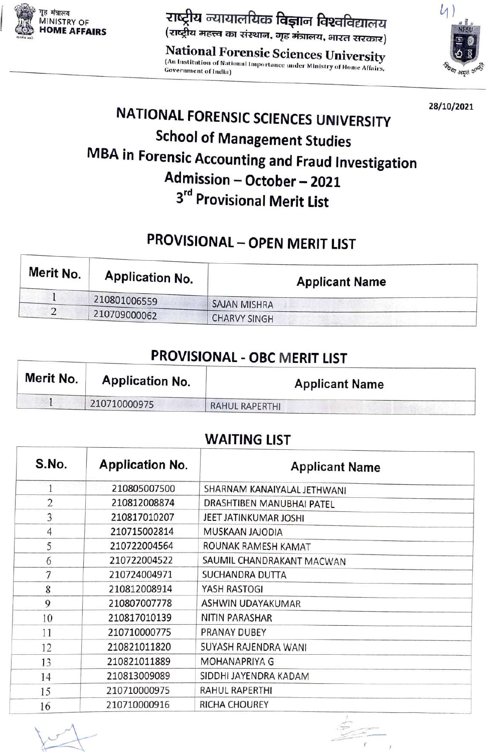

Nu rIaiafuas fa\_a faeafeeiGTH )

(An Institution of National Importance under Ministry of Home Affairs,<br>Government of India) **National Forensic Sciences University**<br><sup>(An Institution of National Importance under Ministry of Home 406)</sup> Government of India)



28/10/2021 NATIONAL FORENSIC SCIENCES UNIVERSITY School of Management Studies MBA in Forensic Accounting and Fraud Investigation<br>Admission - October - 2021 3rd Provisional Merit List

## PROVISIONAL - OPEN MERIT LIST

| Merit No. | Application No. | <b>Applicant Name</b> |
|-----------|-----------------|-----------------------|
|           | 210801006559    | <b>SAJAN MISHRA</b>   |
| 2         | 210709000062    | <b>CHARVY SINGH</b>   |

## PROVISIONAL - OBC MERIT LIST

| Merit No. | <b>Application No.</b> | <b>Applicant Name</b> |  |
|-----------|------------------------|-----------------------|--|
|           | 210710000975           | <b>RAHUL RAPERTHI</b> |  |

## WAITING LIST

| S.No.                    | <b>Application No.</b> | <b>Applicant Name</b>       |  |
|--------------------------|------------------------|-----------------------------|--|
| 1                        | 210805007500           | SHARNAM KANAIYALAL JETHWANI |  |
| $\overline{2}$           | 210812008874           | DRASHTIBEN MANUBHAI PATEL   |  |
| 3                        | 210817010207           | JEET JATINKUMAR JOSHI       |  |
| $\overline{\mathcal{L}}$ | 210715002814           | MUSKAAN JAJODIA             |  |
| 5                        | 210722004564           | ROUNAK RAMESH KAMAT         |  |
| 6                        | 210722004522           | SAUMIL CHANDRAKANT MACWAN   |  |
| 7                        | 210724004971           | SUCHANDRA DUTTA             |  |
| 8                        | 210812008914           | YASH RASTOGI                |  |
| 9                        | 210807007778           | ASHWIN UDAYAKUMAR           |  |
| 10                       | 210817010139           | <b>NITIN PARASHAR</b>       |  |
| 11                       | 210710000775           | PRANAY DUBEY                |  |
| 12                       | 210821011820           | SUYASH RAJENDRA WANI        |  |
| 13                       | 210821011889           | <b>MOHANAPRIYA G</b>        |  |
| 14                       | 210813009089           | SIDDHI JAYENDRA KADAM       |  |
| 15                       | 210710000975           | RAHUL RAPERTHI              |  |
| 16                       | 210710000916           | <b>RICHA CHOUREY</b>        |  |